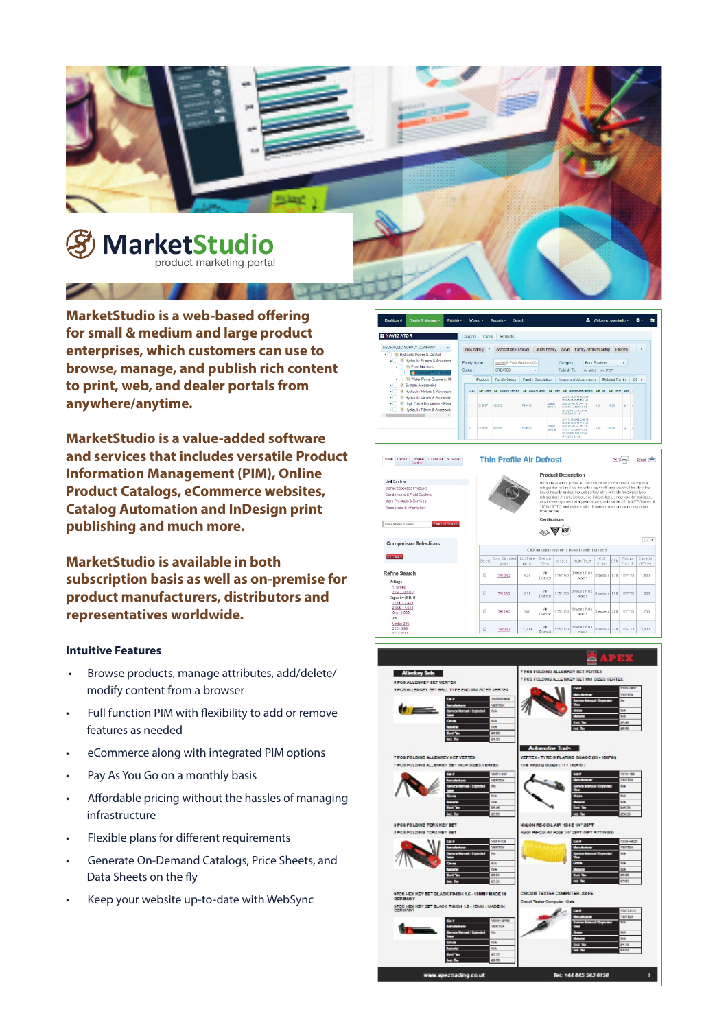

**MarketStudio is a web-based offering for small & medium and large product enterprises, which customers can use to browse, manage, and publish rich content to print, web, and dealer portals from anywhere/anytime.** 

**MarketStudio is a value-added software and services that includes versatile Product Information Management (PIM), Online Product Catalogs, eCommerce websites, Catalog Automation and InDesign print publishing and much more.** 

**MarketStudio is available in both subscription basis as well as on-premise for product manufacturers, distributors and representatives worldwide.**

## **Intuitive Features**

- Browse products, manage attributes, add/delete/ modify content from a browser
- Full function PIM with flexibility to add or remove features as needed
- eCommerce along with integrated PIM options
- Pay As You Go on a monthly basis
- Affordable pricing without the hassles of managing infrastructure
- Flexible plans for different requirements
- Generate On-Demand Catalogs, Price Sheets, and Data Sheets on the fly
- Keep your website up-to-date with WebSync